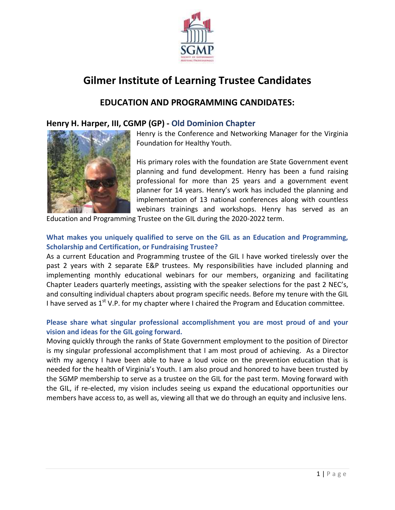

# **Gilmer Institute of Learning Trustee Candidates**

# **EDUCATION AND PROGRAMMING CANDIDATES:**

## **Henry H. Harper, III, CGMP (GP) - Old Dominion Chapter**



Henry is the Conference and Networking Manager for the Virginia Foundation for Healthy Youth.

His primary roles with the foundation are State Government event planning and fund development. Henry has been a fund raising professional for more than 25 years and a government event planner for 14 years. Henry's work has included the planning and implementation of 13 national conferences along with countless webinars trainings and workshops. Henry has served as an

Education and Programming Trustee on the GIL during the 2020-2022 term.

## **What makes you uniquely qualified to serve on the GIL as an Education and Programming, Scholarship and Certification, or Fundraising Trustee?**

As a current Education and Programming trustee of the GIL I have worked tirelessly over the past 2 years with 2 separate E&P trustees. My responsibilities have included planning and implementing monthly educational webinars for our members, organizing and facilitating Chapter Leaders quarterly meetings, assisting with the speaker selections for the past 2 NEC's, and consulting individual chapters about program specific needs. Before my tenure with the GIL I have served as  $1^{st}$  V.P. for my chapter where I chaired the Program and Education committee.

## **Please share what singular professional accomplishment you are most proud of and your vision and ideas for the GIL going forward.**

Moving quickly through the ranks of State Government employment to the position of Director is my singular professional accomplishment that I am most proud of achieving. As a Director with my agency I have been able to have a loud voice on the prevention education that is needed for the health of Virginia's Youth. I am also proud and honored to have been trusted by the SGMP membership to serve as a trustee on the GIL for the past term. Moving forward with the GIL, if re-elected, my vision includes seeing us expand the educational opportunities our members have access to, as well as, viewing all that we do through an equity and inclusive lens.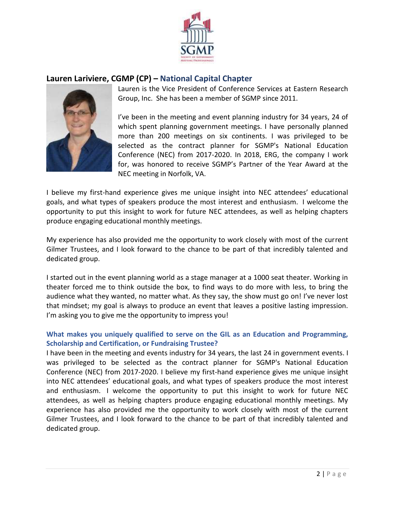

## **Lauren Lariviere, CGMP (CP) – National Capital Chapter**



Lauren is the Vice President of Conference Services at Eastern Research Group, Inc. She has been a member of SGMP since 2011.

I've been in the meeting and event planning industry for 34 years, 24 of which spent planning government meetings. I have personally planned more than 200 meetings on six continents. I was privileged to be selected as the contract planner for SGMP's National Education Conference (NEC) from 2017-2020. In 2018, ERG, the company I work for, was honored to receive SGMP's Partner of the Year Award at the NEC meeting in Norfolk, VA.

I believe my first-hand experience gives me unique insight into NEC attendees' educational goals, and what types of speakers produce the most interest and enthusiasm. I welcome the opportunity to put this insight to work for future NEC attendees, as well as helping chapters produce engaging educational monthly meetings.

My experience has also provided me the opportunity to work closely with most of the current Gilmer Trustees, and I look forward to the chance to be part of that incredibly talented and dedicated group.

I started out in the event planning world as a stage manager at a 1000 seat theater. Working in theater forced me to think outside the box, to find ways to do more with less, to bring the audience what they wanted, no matter what. As they say, the show must go on! I've never lost that mindset; my goal is always to produce an event that leaves a positive lasting impression. I'm asking you to give me the opportunity to impress you!

## **What makes you uniquely qualified to serve on the GIL as an Education and Programming, Scholarship and Certification, or Fundraising Trustee?**

I have been in the meeting and events industry for 34 years, the last 24 in government events. I was privileged to be selected as the contract planner for SGMP's National Education Conference (NEC) from 2017-2020. I believe my first-hand experience gives me unique insight into NEC attendees' educational goals, and what types of speakers produce the most interest and enthusiasm. I welcome the opportunity to put this insight to work for future NEC attendees, as well as helping chapters produce engaging educational monthly meetings. My experience has also provided me the opportunity to work closely with most of the current Gilmer Trustees, and I look forward to the chance to be part of that incredibly talented and dedicated group.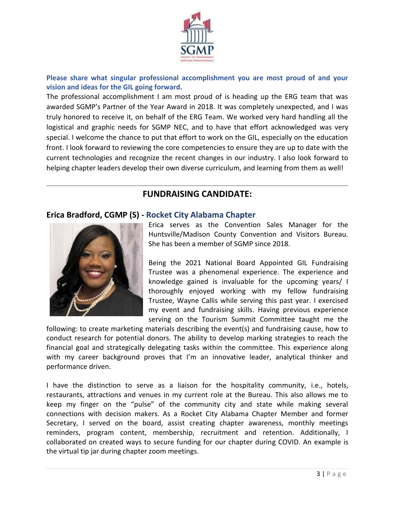

**Please share what singular professional accomplishment you are most proud of and your vision and ideas for the GIL going forward.** 

The professional accomplishment I am most proud of is heading up the ERG team that was awarded SGMP's Partner of the Year Award in 2018. It was completely unexpected, and I was truly honored to receive it, on behalf of the ERG Team. We worked very hard handling all the logistical and graphic needs for SGMP NEC, and to have that effort acknowledged was very special. I welcome the chance to put that effort to work on the GIL, especially on the education front. I look forward to reviewing the core competencies to ensure they are up to date with the current technologies and recognize the recent changes in our industry. I also look forward to helping chapter leaders develop their own diverse curriculum, and learning from them as well!

## **FUNDRAISING CANDIDATE:**

## **Erica Bradford, CGMP (S) - Rocket City Alabama Chapter**



Erica serves as the Convention Sales Manager for the Huntsville/Madison County Convention and Visitors Bureau. She has been a member of SGMP since 2018.

Being the 2021 National Board Appointed GIL Fundraising Trustee was a phenomenal experience. The experience and knowledge gained is invaluable for the upcoming years/ I thoroughly enjoyed working with my fellow fundraising Trustee, Wayne Callis while serving this past year. I exercised my event and fundraising skills. Having previous experience serving on the Tourism Summit Committee taught me the

following: to create marketing materials describing the event(s) and fundraising cause, how to conduct research for potential donors. The ability to develop marking strategies to reach the financial goal and strategically delegating tasks within the committee. This experience along with my career background proves that I'm an innovative leader, analytical thinker and performance driven.

I have the distinction to serve as a liaison for the hospitality community, i.e., hotels, restaurants, attractions and venues in my current role at the Bureau. This also allows me to keep my finger on the "pulse" of the community city and state while making several connections with decision makers. As a Rocket City Alabama Chapter Member and former Secretary, I served on the board, assist creating chapter awareness, monthly meetings reminders, program content, membership, recruitment and retention. Additionally, I collaborated on created ways to secure funding for our chapter during COVID. An example is the virtual tip jar during chapter zoom meetings.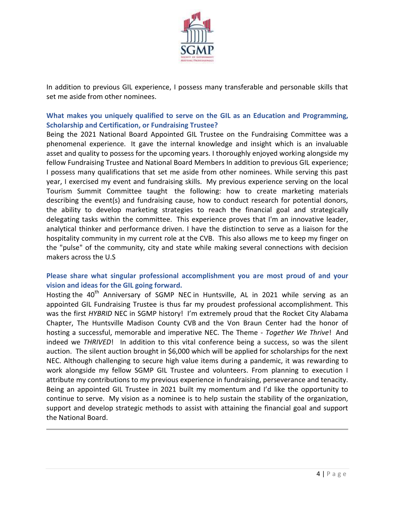

In addition to previous GIL experience, I possess many transferable and personable skills that set me aside from other nominees.

**What makes you uniquely qualified to serve on the GIL as an Education and Programming, Scholarship and Certification, or Fundraising Trustee?** 

Being the 2021 National Board Appointed GIL Trustee on the Fundraising Committee was a phenomenal experience. It gave the internal knowledge and insight which is an invaluable asset and quality to possess for the upcoming years. I thoroughly enjoyed working alongside my fellow Fundraising Trustee and National Board Members In addition to previous GIL experience; I possess many qualifications that set me aside from other nominees. While serving this past year, I exercised my event and fundraising skills. My previous experience serving on the local Tourism Summit Committee taught the following: how to create marketing materials describing the event(s) and fundraising cause, how to conduct research for potential donors, the ability to develop marketing strategies to reach the financial goal and strategically delegating tasks within the committee. This experience proves that I'm an innovative leader, analytical thinker and performance driven. I have the distinction to serve as a liaison for the hospitality community in my current role at the CVB. This also allows me to keep my finger on the "pulse" of the community, city and state while making several connections with decision makers across the U.S

#### **Please share what singular professional accomplishment you are most proud of and your vision and ideas for the GIL going forward.**

Hosting the 40<sup>th</sup> Anniversary of SGMP NEC in Huntsville, AL in 2021 while serving as an appointed GIL Fundraising Trustee is thus far my proudest professional accomplishment. This was the first *HYBRID* NEC in SGMP history! I'm extremely proud that the Rocket City Alabama Chapter, The Huntsville Madison County CVB and the Von Braun Center had the honor of hosting a successful, memorable and imperative NEC. The Theme - *Together We Thrive*! And indeed we *THRIVED*! In addition to this vital conference being a success, so was the silent auction. The silent auction brought in \$6,000 which will be applied for scholarships for the next NEC. Although challenging to secure high value items during a pandemic, it was rewarding to work alongside my fellow SGMP GIL Trustee and volunteers. From planning to execution I attribute my contributions to my previous experience in fundraising, perseverance and tenacity. Being an appointed GIL Trustee in 2021 built my momentum and I'd like the opportunity to continue to serve. My vision as a nominee is to help sustain the stability of the organization, support and develop strategic methods to assist with attaining the financial goal and support the National Board.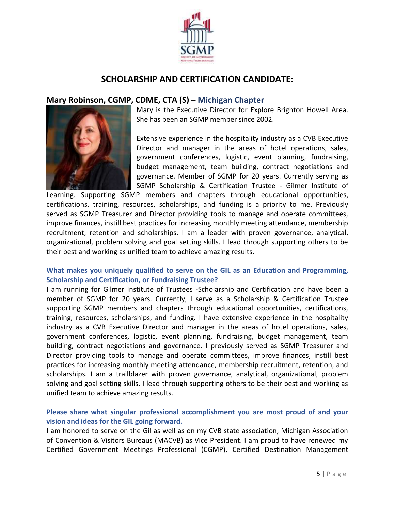

# **SCHOLARSHIP AND CERTIFICATION CANDIDATE:**

## **Mary Robinson, CGMP, CDME, CTA (S) – Michigan Chapter**



Mary is the Executive Director for Explore Brighton Howell Area. She has been an SGMP member since 2002.

Extensive experience in the hospitality industry as a CVB Executive Director and manager in the areas of hotel operations, sales, government conferences, logistic, event planning, fundraising, budget management, team building, contract negotiations and governance. Member of SGMP for 20 years. Currently serving as SGMP Scholarship & Certification Trustee - Gilmer Institute of

Learning. Supporting SGMP members and chapters through educational opportunities, certifications, training, resources, scholarships, and funding is a priority to me. Previously served as SGMP Treasurer and Director providing tools to manage and operate committees, improve finances, instill best practices for increasing monthly meeting attendance, membership recruitment, retention and scholarships. I am a leader with proven governance, analytical, organizational, problem solving and goal setting skills. I lead through supporting others to be their best and working as unified team to achieve amazing results.

## **What makes you uniquely qualified to serve on the GIL as an Education and Programming, Scholarship and Certification, or Fundraising Trustee?**

I am running for Gilmer Institute of Trustees -Scholarship and Certification and have been a member of SGMP for 20 years. Currently, I serve as a Scholarship & Certification Trustee supporting SGMP members and chapters through educational opportunities, certifications, training, resources, scholarships, and funding. I have extensive experience in the hospitality industry as a CVB Executive Director and manager in the areas of hotel operations, sales, government conferences, logistic, event planning, fundraising, budget management, team building, contract negotiations and governance. I previously served as SGMP Treasurer and Director providing tools to manage and operate committees, improve finances, instill best practices for increasing monthly meeting attendance, membership recruitment, retention, and scholarships. I am a trailblazer with proven governance, analytical, organizational, problem solving and goal setting skills. I lead through supporting others to be their best and working as unified team to achieve amazing results.

## **Please share what singular professional accomplishment you are most proud of and your vision and ideas for the GIL going forward.**

I am honored to serve on the Gil as well as on my CVB state association, Michigan Association of Convention & Visitors Bureaus (MACVB) as Vice President. I am proud to have renewed my Certified Government Meetings Professional (CGMP), Certified Destination Management